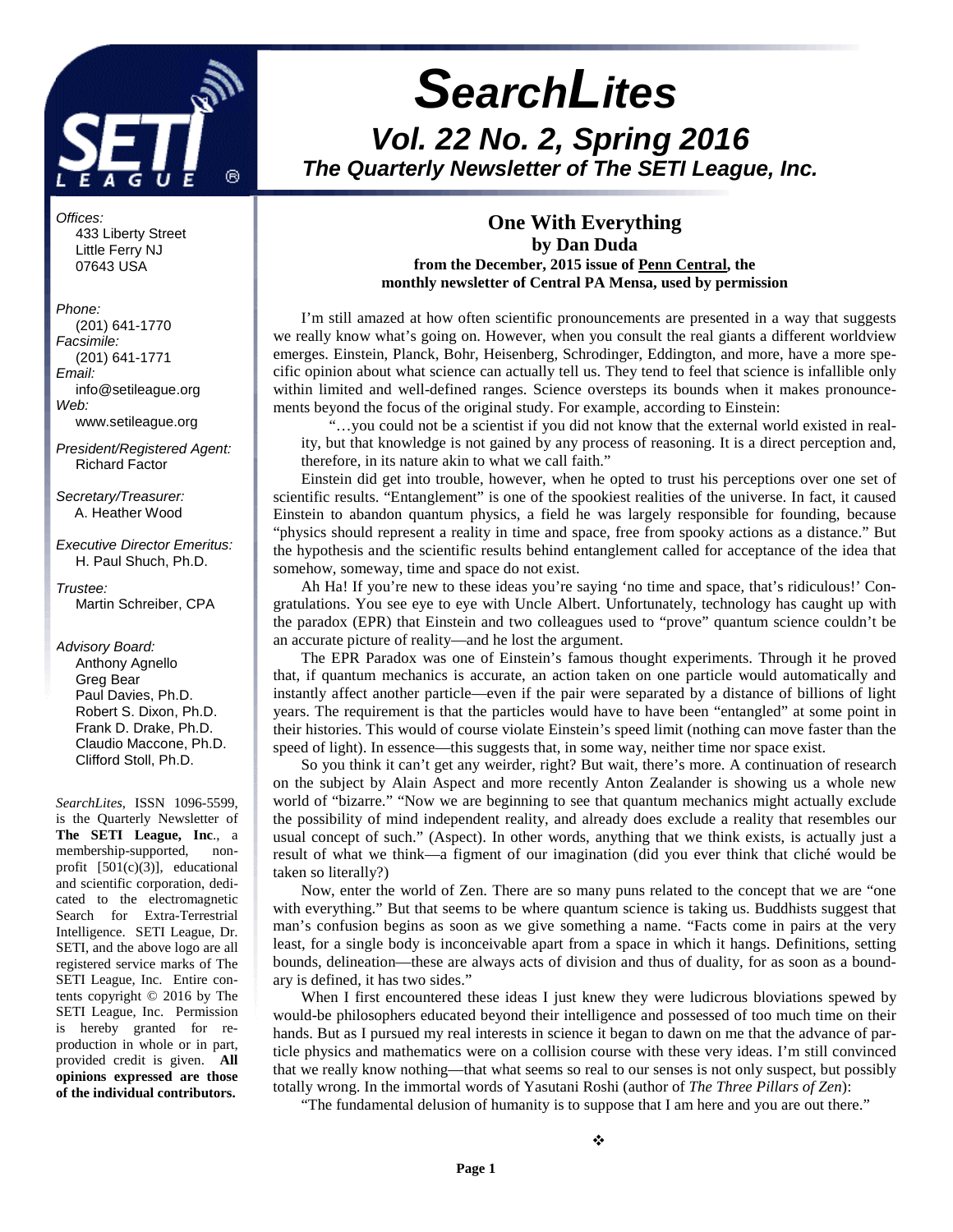

# **SearchLites Vol. 22 No. 2, Spring 2016 The Quarterly Newsletter of The SETI League, Inc.**

#### **One With Everything by Dan Duda from the December, 2015 issue of Penn Central, the monthly newsletter of Central PA Mensa, used by permission**

I'm still amazed at how often scientific pronouncements are presented in a way that suggests we really know what's going on. However, when you consult the real giants a different worldview emerges. Einstein, Planck, Bohr, Heisenberg, Schrodinger, Eddington, and more, have a more specific opinion about what science can actually tell us. They tend to feel that science is infallible only within limited and well-defined ranges. Science oversteps its bounds when it makes pronouncements beyond the focus of the original study. For example, according to Einstein:

"…you could not be a scientist if you did not know that the external world existed in reality, but that knowledge is not gained by any process of reasoning. It is a direct perception and, therefore, in its nature akin to what we call faith."

Einstein did get into trouble, however, when he opted to trust his perceptions over one set of scientific results. "Entanglement" is one of the spookiest realities of the universe. In fact, it caused Einstein to abandon quantum physics, a field he was largely responsible for founding, because "physics should represent a reality in time and space, free from spooky actions as a distance." But the hypothesis and the scientific results behind entanglement called for acceptance of the idea that somehow, someway, time and space do not exist.

Ah Ha! If you're new to these ideas you're saying 'no time and space, that's ridiculous!' Congratulations. You see eye to eye with Uncle Albert. Unfortunately, technology has caught up with the paradox (EPR) that Einstein and two colleagues used to "prove" quantum science couldn't be an accurate picture of reality—and he lost the argument.

The EPR Paradox was one of Einstein's famous thought experiments. Through it he proved that, if quantum mechanics is accurate, an action taken on one particle would automatically and instantly affect another particle—even if the pair were separated by a distance of billions of light years. The requirement is that the particles would have to have been "entangled" at some point in their histories. This would of course violate Einstein's speed limit (nothing can move faster than the speed of light). In essence—this suggests that, in some way, neither time nor space exist.

So you think it can't get any weirder, right? But wait, there's more. A continuation of research on the subject by Alain Aspect and more recently Anton Zealander is showing us a whole new world of "bizarre." "Now we are beginning to see that quantum mechanics might actually exclude the possibility of mind independent reality, and already does exclude a reality that resembles our usual concept of such." (Aspect). In other words, anything that we think exists, is actually just a result of what we think—a figment of our imagination (did you ever think that cliché would be taken so literally?)

Now, enter the world of Zen. There are so many puns related to the concept that we are "one with everything." But that seems to be where quantum science is taking us. Buddhists suggest that man's confusion begins as soon as we give something a name. "Facts come in pairs at the very least, for a single body is inconceivable apart from a space in which it hangs. Definitions, setting bounds, delineation—these are always acts of division and thus of duality, for as soon as a boundary is defined, it has two sides."

When I first encountered these ideas I just knew they were ludicrous bloviations spewed by would-be philosophers educated beyond their intelligence and possessed of too much time on their hands. But as I pursued my real interests in science it began to dawn on me that the advance of particle physics and mathematics were on a collision course with these very ideas. I'm still convinced that we really know nothing—that what seems so real to our senses is not only suspect, but possibly totally wrong. In the immortal words of Yasutani Roshi (author of *The Three Pillars of Zen*):

"The fundamental delusion of humanity is to suppose that I am here and you are out there."

 $\ddot{\cdot}$ 

 433 Liberty Street Little Ferry NJ 07643 USA

Offices:

Phone: (201) 641-1770 Facsimile: (201) 641-1771 Email: info@setileague.org Web: www.setileague.org

President/Registered Agent: Richard Factor

Secretary/Treasurer: A. Heather Wood

Executive Director Emeritus: H. Paul Shuch, Ph.D.

Trustee: Martin Schreiber, CPA

Advisory Board: Anthony Agnello Greg Bear Paul Davies, Ph.D. Robert S. Dixon, Ph.D. Frank D. Drake, Ph.D. Claudio Maccone, Ph.D. Clifford Stoll, Ph.D.

*SearchLites*, ISSN 1096-5599, is the Quarterly Newsletter of **The SETI League, Inc**., a membership-supported, nonprofit [501(c)(3)], educational and scientific corporation, dedicated to the electromagnetic Search for Extra-Terrestrial Intelligence. SETI League, Dr. SETI, and the above logo are all registered service marks of The SETI League, Inc. Entire contents copyright © 2016 by The SETI League, Inc. Permission is hereby granted for reproduction in whole or in part, provided credit is given. **All opinions expressed are those of the individual contributors.**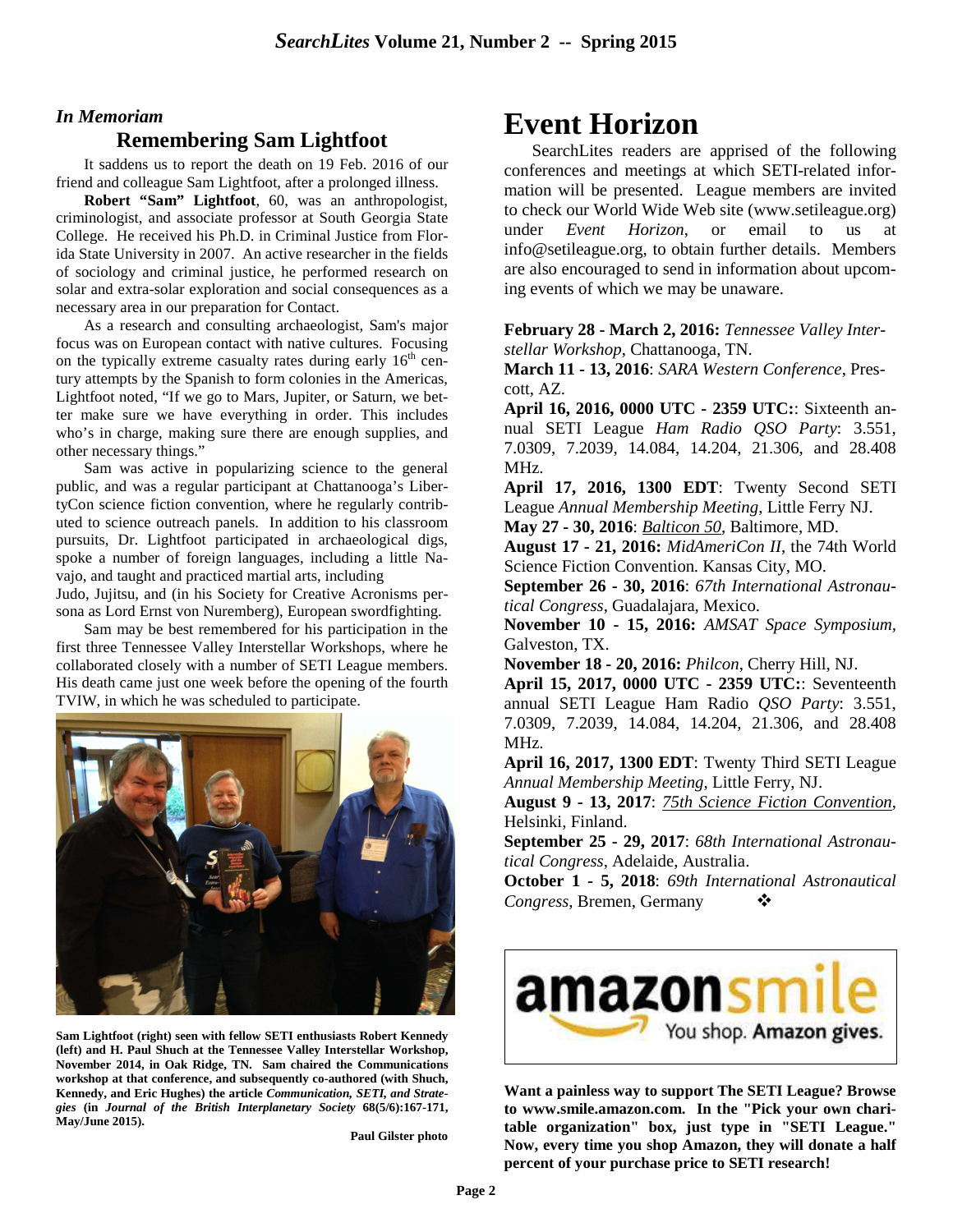### *In Memoriam* **Remembering Sam Lightfoot**

 It saddens us to report the death on 19 Feb. 2016 of our friend and colleague Sam Lightfoot, after a prolonged illness.

**Robert "Sam" Lightfoot**, 60, was an anthropologist, criminologist, and associate professor at South Georgia State College. He received his Ph.D. in Criminal Justice from Florida State University in 2007. An active researcher in the fields of sociology and criminal justice, he performed research on solar and extra-solar exploration and social consequences as a necessary area in our preparation for Contact.

 As a research and consulting archaeologist, Sam's major focus was on European contact with native cultures. Focusing on the typically extreme casualty rates during early  $16<sup>th</sup>$  century attempts by the Spanish to form colonies in the Americas, Lightfoot noted, "If we go to Mars, Jupiter, or Saturn, we better make sure we have everything in order. This includes who's in charge, making sure there are enough supplies, and other necessary things."

 Sam was active in popularizing science to the general public, and was a regular participant at Chattanooga's LibertyCon science fiction convention, where he regularly contributed to science outreach panels. In addition to his classroom pursuits, Dr. Lightfoot participated in archaeological digs, spoke a number of foreign languages, including a little Navajo, and taught and practiced martial arts, including

Judo, Jujitsu, and (in his Society for Creative Acronisms persona as Lord Ernst von Nuremberg), European swordfighting.

 Sam may be best remembered for his participation in the first three Tennessee Valley Interstellar Workshops, where he collaborated closely with a number of SETI League members. His death came just one week before the opening of the fourth TVIW, in which he was scheduled to participate.



**Sam Lightfoot (right) seen with fellow SETI enthusiasts Robert Kennedy (left) and H. Paul Shuch at the Tennessee Valley Interstellar Workshop, November 2014, in Oak Ridge, TN. Sam chaired the Communications workshop at that conference, and subsequently co-authored (with Shuch, Kennedy, and Eric Hughes) the article** *Communication, SETI, and Strategies* **(in** *Journal of the British Interplanetary Society* **68(5/6):167-171, May/June 2015).** 

**Paul Gilster photo** 

## **Event Horizon**

SearchLites readers are apprised of the following conferences and meetings at which SETI-related information will be presented. League members are invited to check our World Wide Web site (www.setileague.org) under *Event Horizon*, or email to us at info@setileague.org, to obtain further details. Members are also encouraged to send in information about upcoming events of which we may be unaware.

**February 28 - March 2, 2016:** *Tennessee Valley Interstellar Workshop*, Chattanooga, TN.

**March 11 - 13, 2016**: *SARA Western Conference*, Prescott, AZ.

**April 16, 2016, 0000 UTC - 2359 UTC:**: Sixteenth annual SETI League *Ham Radio QSO Party*: 3.551, 7.0309, 7.2039, 14.084, 14.204, 21.306, and 28.408 MHz.

**April 17, 2016, 1300 EDT**: Twenty Second SETI League *Annual Membership Meeting*, Little Ferry NJ. **May 27 - 30, 2016**: *Balticon 50*, Baltimore, MD.

**August 17 - 21, 2016:** *MidAmeriCon II*, the 74th World Science Fiction Convention. Kansas City, MO.

**September 26 - 30, 2016**: *67th International Astronautical Congress*, Guadalajara, Mexico.

**November 10 - 15, 2016:** *AMSAT Space Symposium,* Galveston, TX.

**November 18 - 20, 2016:** *Philcon*, Cherry Hill, NJ.

**April 15, 2017, 0000 UTC - 2359 UTC:**: Seventeenth annual SETI League Ham Radio *QSO Party*: 3.551, 7.0309, 7.2039, 14.084, 14.204, 21.306, and 28.408 MHz.

**April 16, 2017, 1300 EDT**: Twenty Third SETI League *Annual Membership Meeting*, Little Ferry, NJ.

**August 9 - 13, 2017**: *75th Science Fiction Convention*, Helsinki, Finland.

**September 25 - 29, 2017**: *68th International Astronautical Congress*, Adelaide, Australia.

**October 1 - 5, 2018**: *69th International Astronautical Congress*, Bremen, Germany -



**Want a painless way to support The SETI League? Browse to www.smile.amazon.com. In the "Pick your own charitable organization" box, just type in "SETI League." Now, every time you shop Amazon, they will donate a half percent of your purchase price to SETI research!**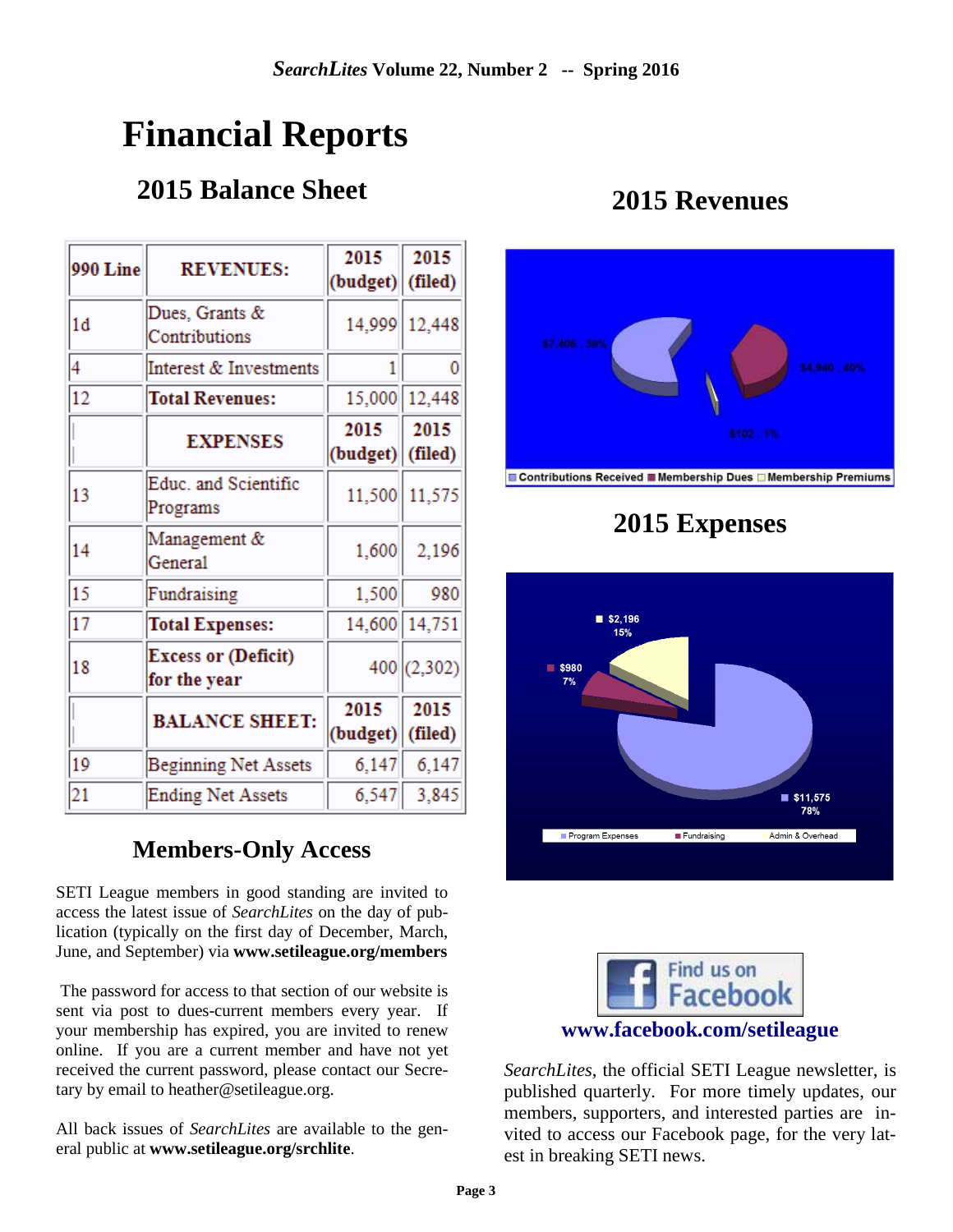# **Financial Reports**

## **2015 Balance Sheet**

| <b>990 Line</b> | <b>REVENUES:</b>                           | 2015<br>(budget) (filed) | 2015            |
|-----------------|--------------------------------------------|--------------------------|-----------------|
| 1d              | Dues, Grants &<br>Contributions            | 14,999                   | 12,448          |
| 4               | Interest & Investments                     | 1                        | O               |
| 12              | <b>Total Revenues:</b>                     | 15,000                   | 12,448          |
|                 | <b>EXPENSES</b>                            | 2015<br>(budget) (filed) | 2015            |
| 13              | Educ. and Scientific<br>Programs           |                          | 11,500 11,575   |
| 14              | Management &<br>General                    | 1,600                    | 2,196           |
| 15              | Fundraising                                | 1,500                    | 980             |
| 17              | <b>Total Expenses:</b>                     |                          | 14,600 14,751   |
| 18              | <b>Excess or (Deficit)</b><br>for the year |                          | 400 (2,302)     |
|                 | <b>BALANCE SHEET:</b>                      | 2015<br>(budget)         | 2015<br>(filed) |
| 19              | Beginning Net Assets                       | 6,147                    | 6,147           |
| 21              | <b>Ending Net Assets</b>                   | 6,547                    | 3,845           |

## **Members-Only Access**

SETI League members in good standing are invited to access the latest issue of *SearchLites* on the day of publication (typically on the first day of December, March, June, and September) via **www.setileague.org/members**

 The password for access to that section of our website is sent via post to dues-current members every year. If your membership has expired, you are invited to renew online. If you are a current member and have not yet received the current password, please contact our Secretary by email to heather@setileague.org.

All back issues of *SearchLites* are available to the general public at **www.setileague.org/srchlite**.

## **2015 Revenues**



**2015 Expenses** 





*SearchLites*, the official SETI League newsletter, is published quarterly.For more timely updates, our members, supporters, and interested parties are invited to access our Facebook page, for the very latest in breaking SETI news.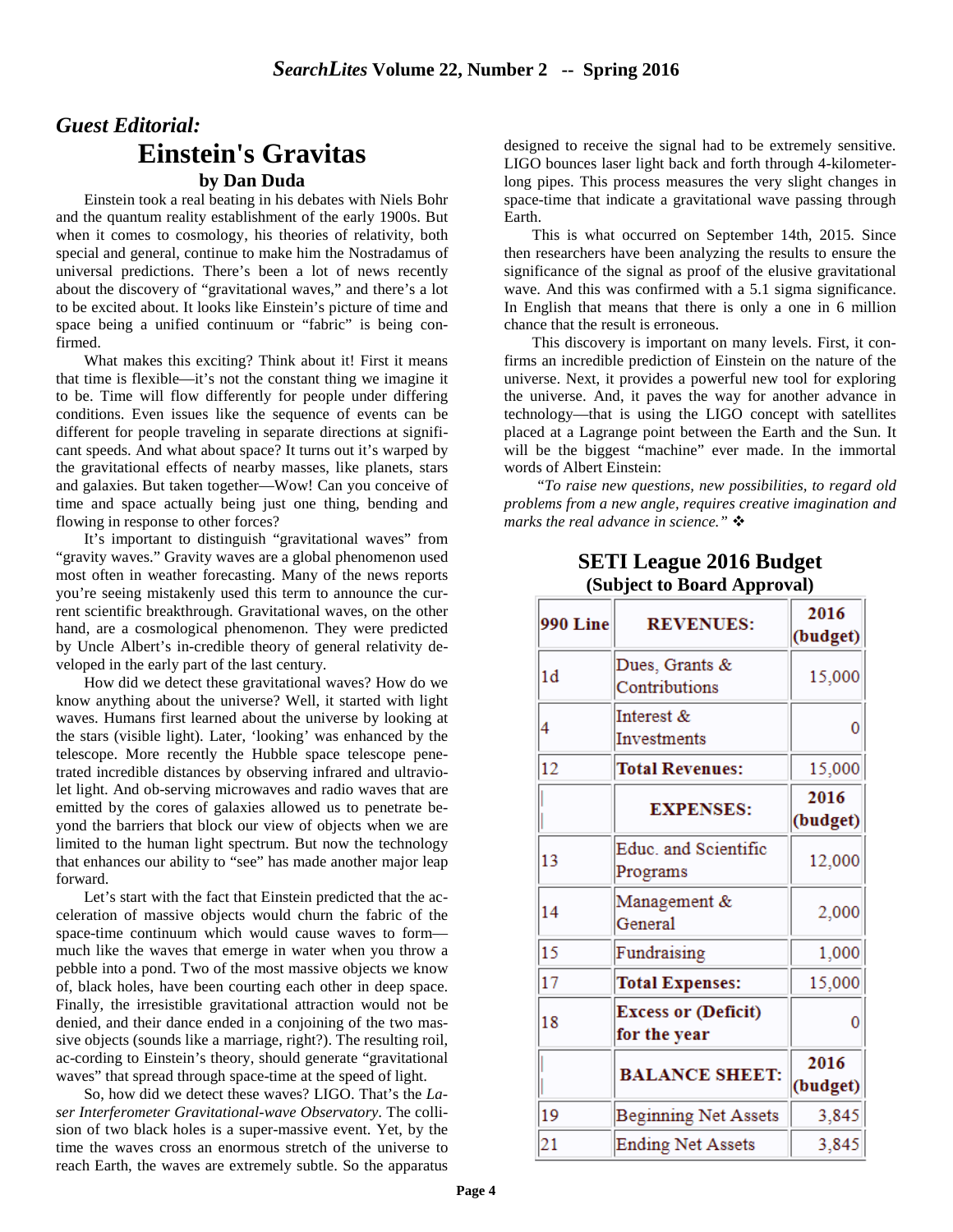### *Guest Editorial:*  **Einstein's Gravitas by Dan Duda**

Einstein took a real beating in his debates with Niels Bohr and the quantum reality establishment of the early 1900s. But when it comes to cosmology, his theories of relativity, both special and general, continue to make him the Nostradamus of universal predictions. There's been a lot of news recently about the discovery of "gravitational waves," and there's a lot to be excited about. It looks like Einstein's picture of time and space being a unified continuum or "fabric" is being confirmed.

What makes this exciting? Think about it! First it means that time is flexible—it's not the constant thing we imagine it to be. Time will flow differently for people under differing conditions. Even issues like the sequence of events can be different for people traveling in separate directions at significant speeds. And what about space? It turns out it's warped by the gravitational effects of nearby masses, like planets, stars and galaxies. But taken together—Wow! Can you conceive of time and space actually being just one thing, bending and flowing in response to other forces?

It's important to distinguish "gravitational waves" from "gravity waves." Gravity waves are a global phenomenon used most often in weather forecasting. Many of the news reports you're seeing mistakenly used this term to announce the current scientific breakthrough. Gravitational waves, on the other hand, are a cosmological phenomenon. They were predicted by Uncle Albert's in-credible theory of general relativity developed in the early part of the last century.

How did we detect these gravitational waves? How do we know anything about the universe? Well, it started with light waves. Humans first learned about the universe by looking at the stars (visible light). Later, 'looking' was enhanced by the telescope. More recently the Hubble space telescope penetrated incredible distances by observing infrared and ultraviolet light. And ob-serving microwaves and radio waves that are emitted by the cores of galaxies allowed us to penetrate beyond the barriers that block our view of objects when we are limited to the human light spectrum. But now the technology that enhances our ability to "see" has made another major leap forward.

Let's start with the fact that Einstein predicted that the acceleration of massive objects would churn the fabric of the space-time continuum which would cause waves to form much like the waves that emerge in water when you throw a pebble into a pond. Two of the most massive objects we know of, black holes, have been courting each other in deep space. Finally, the irresistible gravitational attraction would not be denied, and their dance ended in a conjoining of the two massive objects (sounds like a marriage, right?). The resulting roil, ac-cording to Einstein's theory, should generate "gravitational waves" that spread through space-time at the speed of light.

So, how did we detect these waves? LIGO. That's the *Laser Interferometer Gravitational-wave Observatory*. The collision of two black holes is a super-massive event. Yet, by the time the waves cross an enormous stretch of the universe to reach Earth, the waves are extremely subtle. So the apparatus designed to receive the signal had to be extremely sensitive. LIGO bounces laser light back and forth through 4-kilometerlong pipes. This process measures the very slight changes in space-time that indicate a gravitational wave passing through Earth.

This is what occurred on September 14th, 2015. Since then researchers have been analyzing the results to ensure the significance of the signal as proof of the elusive gravitational wave. And this was confirmed with a 5.1 sigma significance. In English that means that there is only a one in 6 million chance that the result is erroneous.

This discovery is important on many levels. First, it confirms an incredible prediction of Einstein on the nature of the universe. Next, it provides a powerful new tool for exploring the universe. And, it paves the way for another advance in technology—that is using the LIGO concept with satellites placed at a Lagrange point between the Earth and the Sun. It will be the biggest "machine" ever made. In the immortal words of Albert Einstein:

*"To raise new questions, new possibilities, to regard old problems from a new angle, requires creative imagination and marks the real advance in science.*"  $\mathbf{\hat{*}}$ 

#### **SETI League 2016 Budget (Subject to Board Approval)**

| <b>990 Line</b> | <b>REVENUES:</b>                           | 2016<br>(budget) |
|-----------------|--------------------------------------------|------------------|
| 1d              | Dues, Grants &<br>Contributions            | 15,000           |
| 4               | Interest &<br>Investments                  | 0                |
| 12              | <b>Total Revenues:</b>                     | 15,000           |
|                 | <b>EXPENSES:</b>                           | 2016<br>(budget) |
| 13              | Educ. and Scientific<br>Programs           | 12,000           |
| 14              | Management &<br>General                    | 2,000            |
| 15              | Fundraising                                | 1,000            |
| 17              | <b>Total Expenses:</b>                     | 15,000           |
| 18              | <b>Excess or (Deficit)</b><br>for the year | 0                |
|                 | <b>BALANCE SHEET:</b>                      | 2016<br>(budget) |
| 19              | <b>Beginning Net Assets</b>                | 3,845            |
| 21              | <b>Ending Net Assets</b>                   | 3,845            |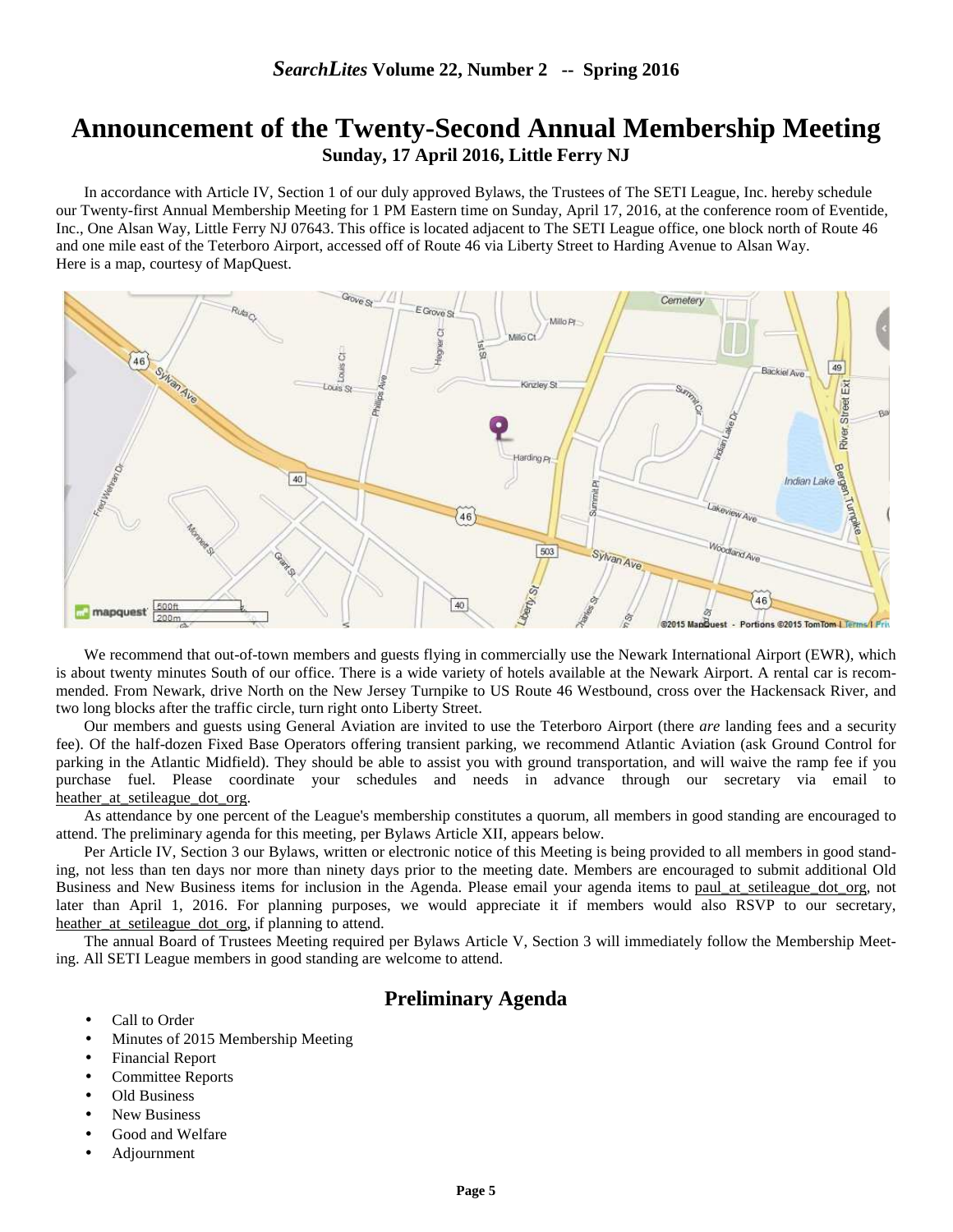### **Announcement of the Twenty-Second Annual Membership Meeting Sunday, 17 April 2016, Little Ferry NJ**

 In accordance with Article IV, Section 1 of our duly approved Bylaws, the Trustees of The SETI League, Inc. hereby schedule our Twenty-first Annual Membership Meeting for 1 PM Eastern time on Sunday, April 17, 2016, at the conference room of Eventide, Inc., One Alsan Way, Little Ferry NJ 07643. This office is located adjacent to The SETI League office, one block north of Route 46 and one mile east of the Teterboro Airport, accessed off of Route 46 via Liberty Street to Harding Avenue to Alsan Way. Here is a map, courtesy of MapQuest.



We recommend that out-of-town members and guests flying in commercially use the Newark International Airport (EWR), which is about twenty minutes South of our office. There is a wide variety of hotels available at the Newark Airport. A rental car is recommended. From Newark, drive North on the New Jersey Turnpike to US Route 46 Westbound, cross over the Hackensack River, and two long blocks after the traffic circle, turn right onto Liberty Street.

Our members and guests using General Aviation are invited to use the Teterboro Airport (there *are* landing fees and a security fee). Of the half-dozen Fixed Base Operators offering transient parking, we recommend Atlantic Aviation (ask Ground Control for parking in the Atlantic Midfield). They should be able to assist you with ground transportation, and will waive the ramp fee if you purchase fuel. Please coordinate your schedules and needs in advance through our secretary via email to heather at setileague dot org.

As attendance by one percent of the League's membership constitutes a quorum, all members in good standing are encouraged to attend. The preliminary agenda for this meeting, per Bylaws Article XII, appears below.

Per Article IV, Section 3 our Bylaws, written or electronic notice of this Meeting is being provided to all members in good standing, not less than ten days nor more than ninety days prior to the meeting date. Members are encouraged to submit additional Old Business and New Business items for inclusion in the Agenda. Please email your agenda items to paul at setileague dot org, not later than April 1, 2016. For planning purposes, we would appreciate it if members would also RSVP to our secretary, heather\_at\_setileague\_dot\_org, if planning to attend.

The annual Board of Trustees Meeting required per Bylaws Article V, Section 3 will immediately follow the Membership Meeting. All SETI League members in good standing are welcome to attend.

#### **Preliminary Agenda**

- Call to Order
- Minutes of 2015 Membership Meeting
- Financial Report
- Committee Reports
- Old Business
- New Business
- Good and Welfare
- Adjournment